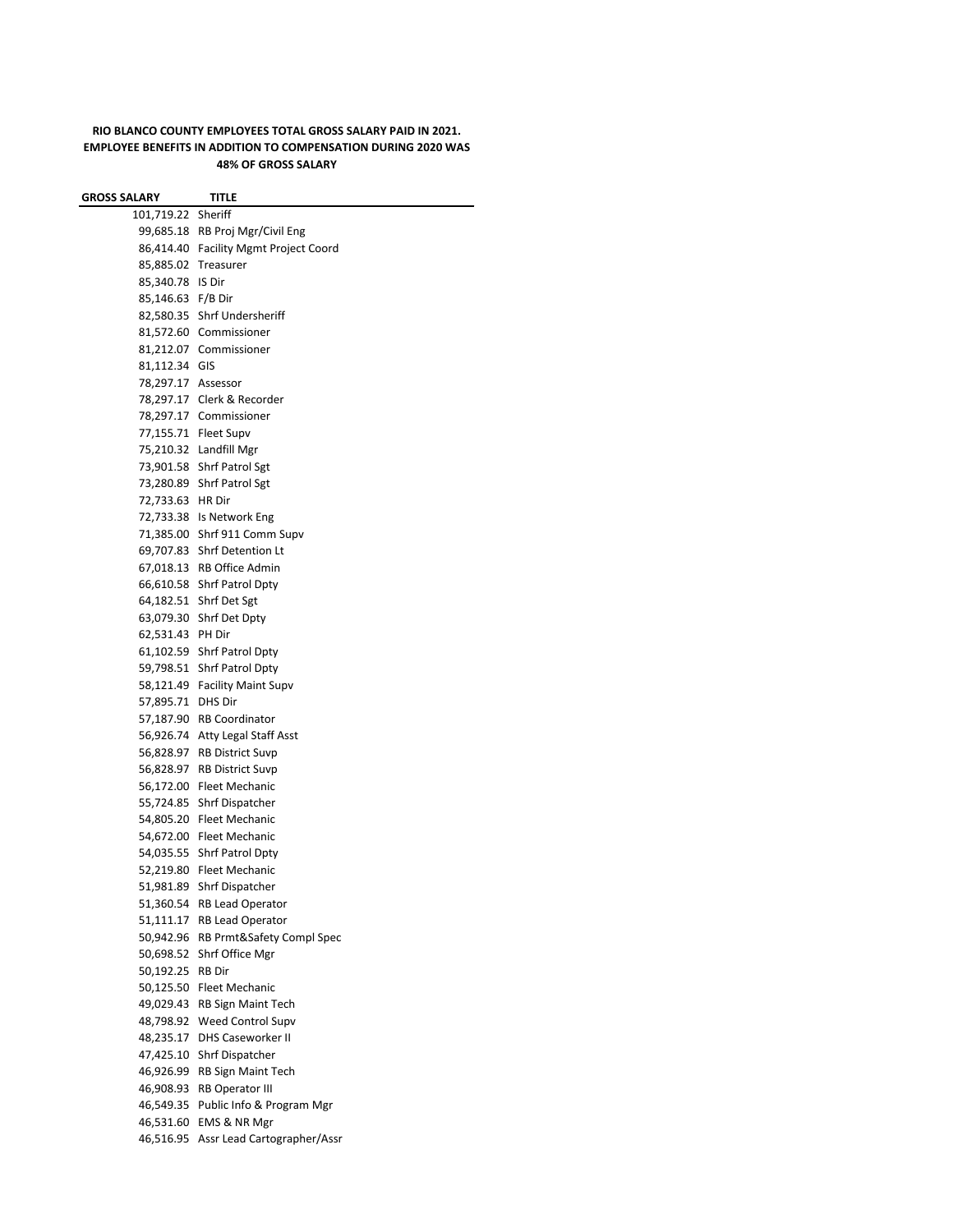## **RIO BLANCO COUNTY EMPLOYEES TOTAL GROSS SALARY PAID IN 2021. EMPLOYEE BENEFITS IN ADDITION TO COMPENSATION DURING 2020 WAS 48% OF GROSS SALARY**

.

| <b>GROSS SALARY</b> | TITLE                                                   |
|---------------------|---------------------------------------------------------|
| 101,719.22 Sheriff  |                                                         |
|                     | 99,685.18 RB Proj Mgr/Civil Eng                         |
|                     | 86,414.40 Facility Mgmt Project Coord                   |
| 85,885.02 Treasurer |                                                         |
| 85,340.78 IS Dir    |                                                         |
| 85,146.63 F/B Dir   |                                                         |
|                     | 82,580.35 Shrf Undersheriff                             |
|                     | 81,572.60 Commissioner                                  |
|                     | 81,212.07 Commissioner                                  |
| 81,112.34 GIS       |                                                         |
| 78,297.17 Assessor  |                                                         |
|                     | 78,297.17 Clerk & Recorder                              |
|                     | 78,297.17 Commissioner                                  |
|                     | 77,155.71 Fleet Supv                                    |
|                     | 75,210.32 Landfill Mgr                                  |
|                     | 73,901.58 Shrf Patrol Sgt                               |
|                     | 73,280.89 Shrf Patrol Sgt                               |
| 72,733.63 HR Dir    |                                                         |
|                     | 72,733.38 Is Network Eng                                |
|                     | 71,385.00 Shrf 911 Comm Supv                            |
|                     | 69,707.83 Shrf Detention Lt                             |
|                     | 67,018.13 RB Office Admin                               |
|                     | 66,610.58 Shrf Patrol Dpty                              |
|                     | 64,182.51 Shrf Det Sgt                                  |
|                     | 63,079.30 Shrf Det Dpty                                 |
| 62,531.43 PH Dir    |                                                         |
|                     | 61,102.59 Shrf Patrol Dpty                              |
|                     | 59,798.51 Shrf Patrol Dpty                              |
|                     | 58,121.49 Facility Maint Supv                           |
| 57,895.71 DHS Dir   |                                                         |
|                     | 57,187.90 RB Coordinator                                |
|                     | 56,926.74 Atty Legal Staff Asst                         |
|                     | 56,828.97 RB District Suvp                              |
|                     | 56,828.97 RB District Suvp                              |
|                     | 56,172.00 Fleet Mechanic                                |
|                     | 55,724.85 Shrf Dispatcher                               |
|                     | 54,805.20 Fleet Mechanic                                |
|                     | 54,672.00 Fleet Mechanic                                |
|                     | 54,035.55 Shrf Patrol Dpty                              |
|                     | 52,219.80 Fleet Mechanic                                |
|                     | 51,981.89 Shrf Dispatcher<br>51,360.54 RB Lead Operator |
|                     | 51,111.17 RB Lead Operator                              |
|                     | 50,942.96 RB Prmt&Safety Compl Spec                     |
|                     | 50,698.52 Shrf Office Mgr                               |
| 50,192.25 RB Dir    |                                                         |
|                     | 50,125.50 Fleet Mechanic                                |
|                     | 49,029.43 RB Sign Maint Tech                            |
|                     | 48,798.92 Weed Control Supv                             |
|                     | 48,235.17 DHS Caseworker II                             |
|                     | 47,425.10 Shrf Dispatcher                               |
|                     | 46,926.99 RB Sign Maint Tech                            |
|                     | 46,908.93 RB Operator III                               |
|                     | 46,549.35 Public Info & Program Mgr                     |
|                     | 46,531.60 EMS & NR Mgr                                  |
|                     | 46,516.95 Assr Lead Cartographer/Assr                   |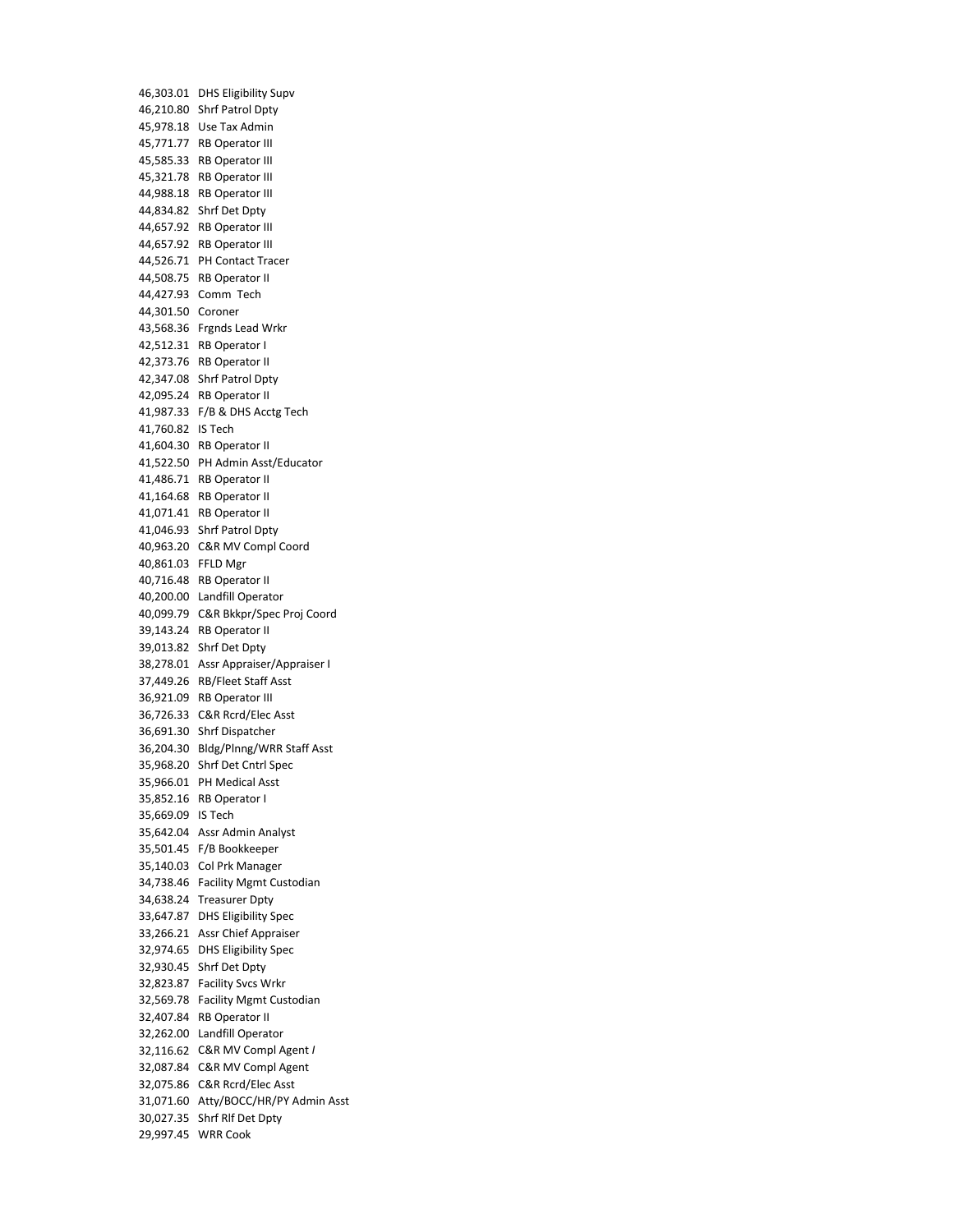46,303.01 DHS Eligibility Supv 46,210.80 Shrf Patrol Dpty 45,978.18 Use Tax Admin 45,771.77 RB Operator III 45,585.33 RB Operator III 45,321.78 RB Operator III 44,988.18 RB Operator III 44,834.82 Shrf Det Dpty 44,657.92 RB Operator III 44,657.92 RB Operator III 44,526.71 PH Contact Tracer 44,508.75 RB Operator II 44,427.93 Comm Tech 44,301.50 Coroner 43,568.36 Frgnds Lead Wrkr 42,512.31 RB Operator I 42,373.76 RB Operator II 42,347.08 Shrf Patrol Dpty 42,095.24 RB Operator II 41,987.33 F/B & DHS Acctg Tech 41,760.82 IS Tech 41,604.30 RB Operator II 41,522.50 PH Admin Asst/Educator 41,486.71 RB Operator II 41,164.68 RB Operator II 41,071.41 RB Operator II 41,046.93 Shrf Patrol Dpty 40,963.20 C&R MV Compl Coord 40,861.03 FFLD Mgr 40,716.48 RB Operator II 40,200.00 Landfill Operator 40,099.79 C&R Bkkpr/Spec Proj Coord 39,143.24 RB Operator II 39,013.82 Shrf Det Dpty 38,278.01 Assr Appraiser/Appraiser I 37,449.26 RB/Fleet Staff Asst 36,921.09 RB Operator III 36,726.33 C&R Rcrd/Elec Asst 36,691.30 Shrf Dispatcher 36,204.30 Bldg/Plnng/WRR Staff Asst 35,968.20 Shrf Det Cntrl Spec 35,966.01 PH Medical Asst 35,852.16 RB Operator I 35,669.09 IS Tech 35,642.04 Assr Admin Analyst 35,501.45 F/B Bookkeeper 35,140.03 Col Prk Manager 34,738.46 Facility Mgmt Custodian 34,638.24 Treasurer Dpty 33,647.87 DHS Eligibility Spec 33,266.21 Assr Chief Appraiser 32,974.65 DHS Eligibility Spec 32,930.45 Shrf Det Dpty 32,823.87 Facility Svcs Wrkr 32,569.78 Facility Mgmt Custodian 32,407.84 RB Operator II 32,262.00 Landfill Operator 32,116.62 C&R MV Compl Agent *I* 32,087.84 C&R MV Compl Agent 32,075.86 C&R Rcrd/Elec Asst 31,071.60 Atty/BOCC/HR/PY Admin Asst 30,027.35 Shrf Rlf Det Dpty 29,997.45 WRR Cook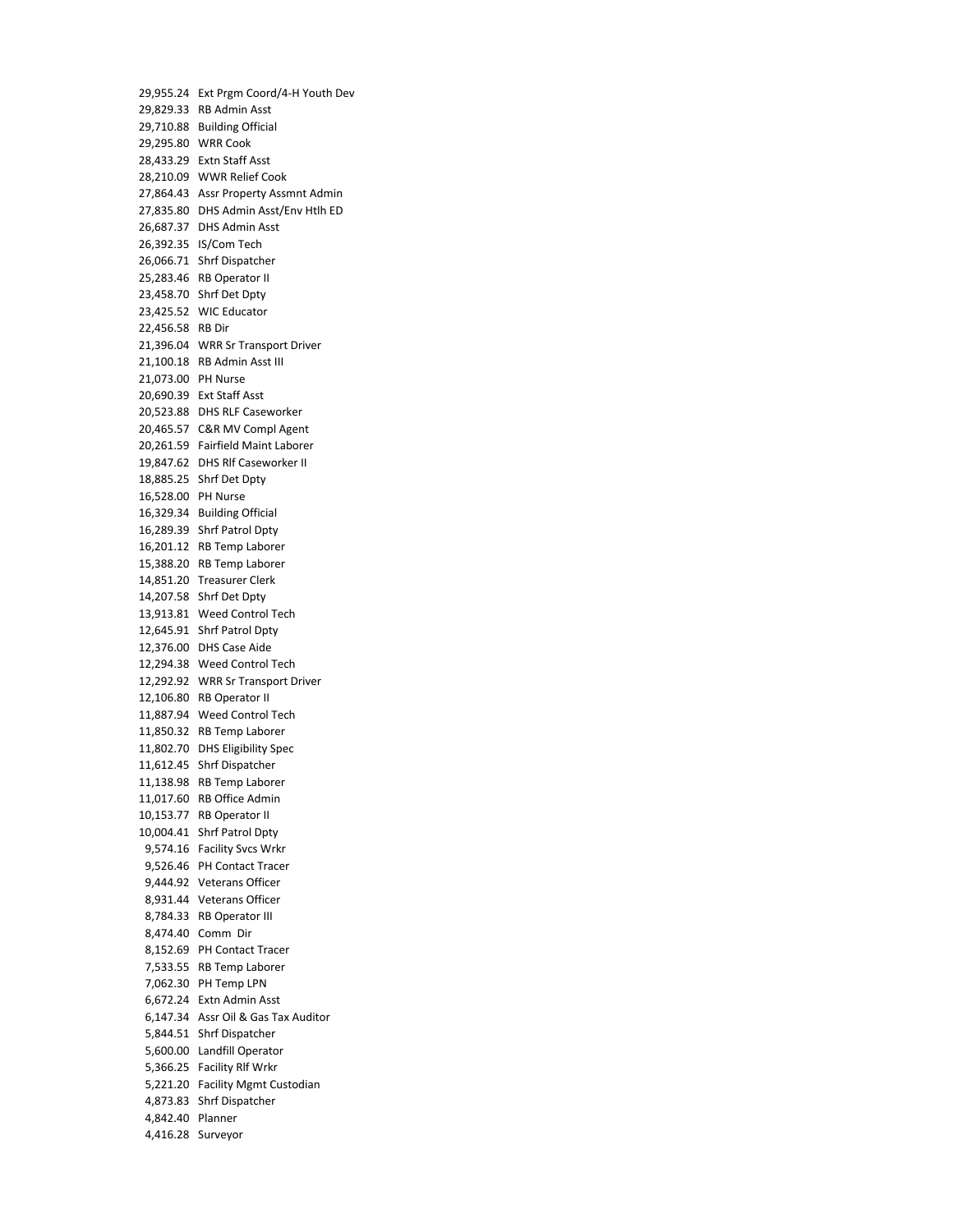29,955.24 Ext Prgm Coord/4-H Youth Dev 29,829.33 RB Admin Asst 29,710.88 Building Official 29,295.80 WRR Cook 28,433.29 Extn Staff Asst 28,210.09 WWR Relief Cook 27,864.43 Assr Property Assmnt Admin 27,835.80 DHS Admin Asst/Env Htlh ED 26,687.37 DHS Admin Asst 26,392.35 IS/Com Tech 26,066.71 Shrf Dispatcher 25,283.46 RB Operator II 23,458.70 Shrf Det Dpty 23,425.52 WIC Educator 22,456.58 RB Dir 21,396.04 WRR Sr Transport Driver 21,100.18 RB Admin Asst III 21,073.00 PH Nurse 20,690.39 Ext Staff Asst 20,523.88 DHS RLF Caseworker 20,465.57 C&R MV Compl Agent 20,261.59 Fairfield Maint Laborer 19,847.62 DHS Rlf Caseworker II 18,885.25 Shrf Det Dpty 16,528.00 PH Nurse 16,329.34 Building Official 16,289.39 Shrf Patrol Dpty 16,201.12 RB Temp Laborer 15,388.20 RB Temp Laborer 14,851.20 Treasurer Clerk 14,207.58 Shrf Det Dpty 13,913.81 Weed Control Tech 12,645.91 Shrf Patrol Dpty 12,376.00 DHS Case Aide 12,294.38 Weed Control Tech 12,292.92 WRR Sr Transport Driver 12,106.80 RB Operator II 11,887.94 Weed Control Tech 11,850.32 RB Temp Laborer 11,802.70 DHS Eligibility Spec 11,612.45 Shrf Dispatcher 11,138.98 RB Temp Laborer 11,017.60 RB Office Admin 10,153.77 RB Operator II 10,004.41 Shrf Patrol Dpty 9,574.16 Facility Svcs Wrkr 9,526.46 PH Contact Tracer 9,444.92 Veterans Officer 8,931.44 Veterans Officer 8,784.33 RB Operator III 8,474.40 Comm Dir 8,152.69 PH Contact Tracer 7,533.55 RB Temp Laborer 7,062.30 PH Temp LPN 6,672.24 Extn Admin Asst 6,147.34 Assr Oil & Gas Tax Auditor 5,844.51 Shrf Dispatcher 5,600.00 Landfill Operator 5,366.25 Facility Rlf Wrkr 5,221.20 Facility Mgmt Custodian 4,873.83 Shrf Dispatcher 4,842.40 Planner 4,416.28 Surveyor